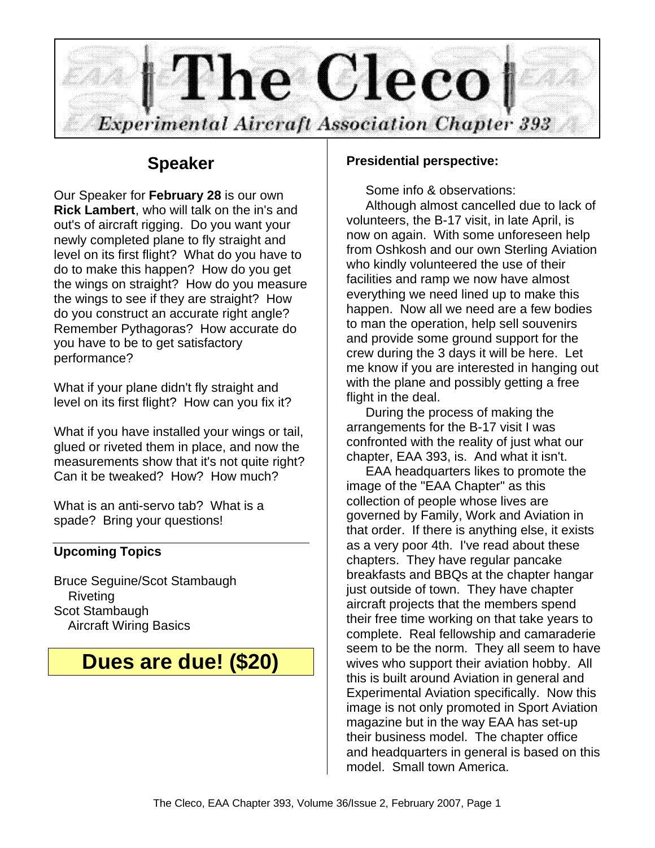

## **Speaker**

Our Speaker for **February 28** is our own **Rick Lambert**, who will talk on the in's and out's of aircraft rigging. Do you want your newly completed plane to fly straight and level on its first flight? What do you have to do to make this happen? How do you get the wings on straight? How do you measure the wings to see if they are straight? How do you construct an accurate right angle? Remember Pythagoras? How accurate do you have to be to get satisfactory performance?

What if your plane didn't fly straight and level on its first flight? How can you fix it?

What if you have installed your wings or tail, glued or riveted them in place, and now the measurements show that it's not quite right? Can it be tweaked? How? How much?

What is an anti-servo tab? What is a spade? Bring your questions!

### **Upcoming Topics**

Bruce Seguine/Scot Stambaugh Riveting Scot Stambaugh Aircraft Wiring Basics

# **Dues are due! (\$20)**

#### **Presidential perspective:**

Some info & observations:

Although almost cancelled due to lack of volunteers, the B-17 visit, in late April, is now on again. With some unforeseen help from Oshkosh and our own Sterling Aviation who kindly volunteered the use of their facilities and ramp we now have almost everything we need lined up to make this happen. Now all we need are a few bodies to man the operation, help sell souvenirs and provide some ground support for the crew during the 3 days it will be here. Let me know if you are interested in hanging out with the plane and possibly getting a free flight in the deal.

During the process of making the arrangements for the B-17 visit I was confronted with the reality of just what our chapter, EAA 393, is. And what it isn't.

EAA headquarters likes to promote the image of the "EAA Chapter" as this collection of people whose lives are governed by Family, Work and Aviation in that order. If there is anything else, it exists as a very poor 4th. I've read about these chapters. They have regular pancake breakfasts and BBQs at the chapter hangar just outside of town. They have chapter aircraft projects that the members spend their free time working on that take years to complete. Real fellowship and camaraderie seem to be the norm. They all seem to have wives who support their aviation hobby. All this is built around Aviation in general and Experimental Aviation specifically. Now this image is not only promoted in Sport Aviation magazine but in the way EAA has set-up their business model. The chapter office and headquarters in general is based on this model. Small town America.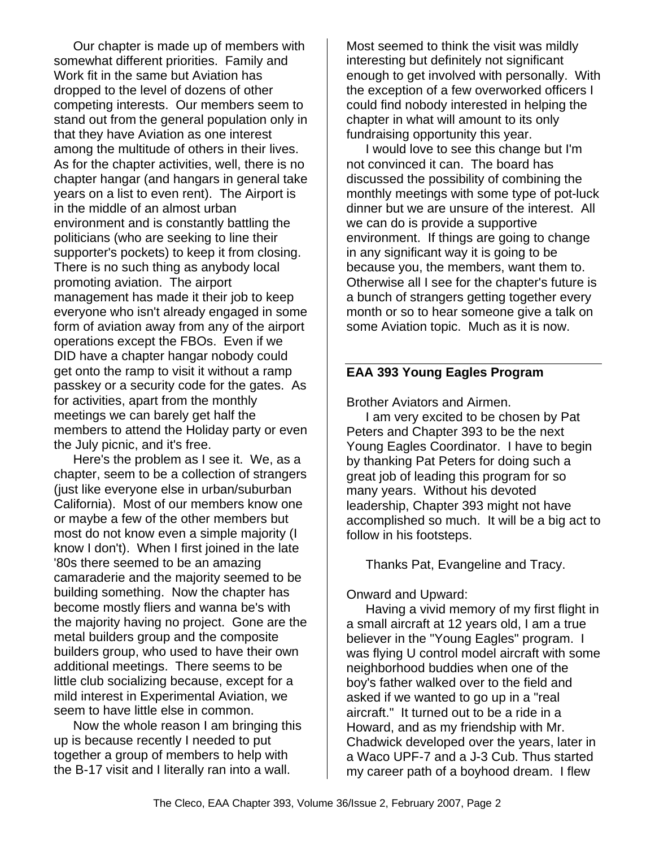Our chapter is made up of members with somewhat different priorities. Family and Work fit in the same but Aviation has dropped to the level of dozens of other competing interests. Our members seem to stand out from the general population only in that they have Aviation as one interest among the multitude of others in their lives. As for the chapter activities, well, there is no chapter hangar (and hangars in general take years on a list to even rent). The Airport is in the middle of an almost urban environment and is constantly battling the politicians (who are seeking to line their supporter's pockets) to keep it from closing. There is no such thing as anybody local promoting aviation. The airport management has made it their job to keep everyone who isn't already engaged in some form of aviation away from any of the airport operations except the FBOs. Even if we DID have a chapter hangar nobody could get onto the ramp to visit it without a ramp passkey or a security code for the gates. As for activities, apart from the monthly meetings we can barely get half the members to attend the Holiday party or even the July picnic, and it's free.

Here's the problem as I see it. We, as a chapter, seem to be a collection of strangers (just like everyone else in urban/suburban California). Most of our members know one or maybe a few of the other members but most do not know even a simple majority (I know I don't). When I first joined in the late '80s there seemed to be an amazing camaraderie and the majority seemed to be building something. Now the chapter has become mostly fliers and wanna be's with the majority having no project. Gone are the metal builders group and the composite builders group, who used to have their own additional meetings. There seems to be little club socializing because, except for a mild interest in Experimental Aviation, we seem to have little else in common.

Now the whole reason I am bringing this up is because recently I needed to put together a group of members to help with the B-17 visit and I literally ran into a wall.

Most seemed to think the visit was mildly interesting but definitely not significant enough to get involved with personally. With the exception of a few overworked officers I could find nobody interested in helping the chapter in what will amount to its only fundraising opportunity this year.

I would love to see this change but I'm not convinced it can. The board has discussed the possibility of combining the monthly meetings with some type of pot-luck dinner but we are unsure of the interest. All we can do is provide a supportive environment. If things are going to change in any significant way it is going to be because you, the members, want them to. Otherwise all I see for the chapter's future is a bunch of strangers getting together every month or so to hear someone give a talk on some Aviation topic. Much as it is now.

#### **EAA 393 Young Eagles Program**

Brother Aviators and Airmen.

I am very excited to be chosen by Pat Peters and Chapter 393 to be the next Young Eagles Coordinator. I have to begin by thanking Pat Peters for doing such a great job of leading this program for so many years. Without his devoted leadership, Chapter 393 might not have accomplished so much. It will be a big act to follow in his footsteps.

Thanks Pat, Evangeline and Tracy.

Onward and Upward:

Having a vivid memory of my first flight in a small aircraft at 12 years old, I am a true believer in the "Young Eagles" program. I was flying U control model aircraft with some neighborhood buddies when one of the boy's father walked over to the field and asked if we wanted to go up in a "real aircraft." It turned out to be a ride in a Howard, and as my friendship with Mr. Chadwick developed over the years, later in a Waco UPF-7 and a J-3 Cub. Thus started my career path of a boyhood dream. I flew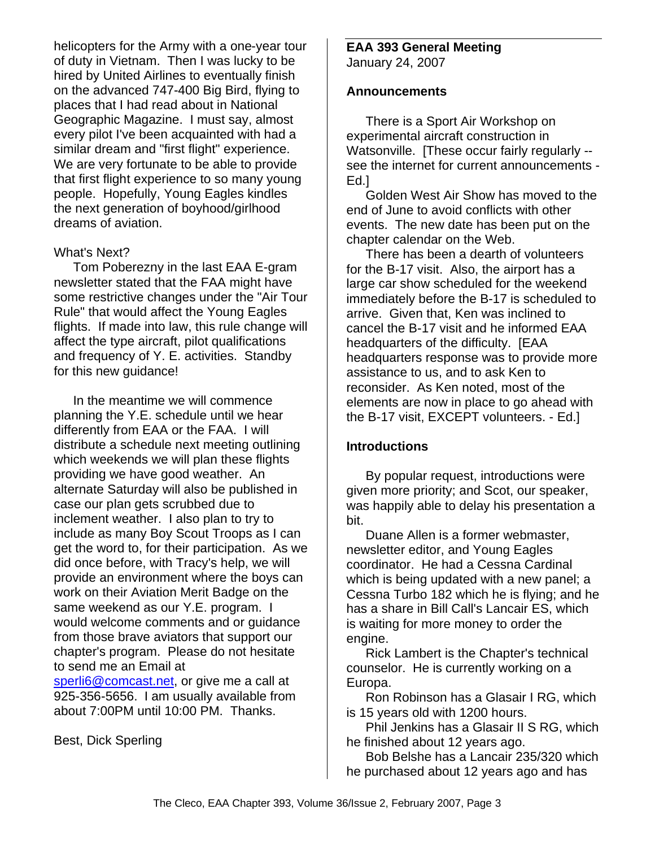helicopters for the Army with a one-year tour of duty in Vietnam. Then I was lucky to be hired by United Airlines to eventually finish on the advanced 747-400 Big Bird, flying to places that I had read about in National Geographic Magazine. I must say, almost every pilot I've been acquainted with had a similar dream and "first flight" experience. We are very fortunate to be able to provide that first flight experience to so many young people. Hopefully, Young Eagles kindles the next generation of boyhood/girlhood dreams of aviation.

#### What's Next?

Tom Poberezny in the last EAA E-gram newsletter stated that the FAA might have some restrictive changes under the "Air Tour Rule" that would affect the Young Eagles flights. If made into law, this rule change will affect the type aircraft, pilot qualifications and frequency of Y. E. activities. Standby for this new guidance!

In the meantime we will commence planning the Y.E. schedule until we hear differently from EAA or the FAA. I will distribute a schedule next meeting outlining which weekends we will plan these flights providing we have good weather. An alternate Saturday will also be published in case our plan gets scrubbed due to inclement weather. I also plan to try to include as many Boy Scout Troops as I can get the word to, for their participation. As we did once before, with Tracy's help, we will provide an environment where the boys can work on their Aviation Merit Badge on the same weekend as our Y.E. program. I would welcome comments and or guidance from those brave aviators that support our chapter's program. Please do not hesitate to send me an Email at sperli6@comcast.net, or give me a call at 925-356-5656. I am usually available from about 7:00PM until 10:00 PM. Thanks.

Best, Dick Sperling

## **EAA 393 General Meeting**

January 24, 2007

#### **Announcements**

There is a Sport Air Workshop on experimental aircraft construction in Watsonville. [These occur fairly regularly -see the internet for current announcements - Ed.]

Golden West Air Show has moved to the end of June to avoid conflicts with other events. The new date has been put on the chapter calendar on the Web.

There has been a dearth of volunteers for the B-17 visit. Also, the airport has a large car show scheduled for the weekend immediately before the B-17 is scheduled to arrive. Given that, Ken was inclined to cancel the B-17 visit and he informed EAA headquarters of the difficulty. [EAA headquarters response was to provide more assistance to us, and to ask Ken to reconsider. As Ken noted, most of the elements are now in place to go ahead with the B-17 visit, EXCEPT volunteers. - Ed.]

#### **Introductions**

By popular request, introductions were given more priority; and Scot, our speaker, was happily able to delay his presentation a bit.

Duane Allen is a former webmaster, newsletter editor, and Young Eagles coordinator. He had a Cessna Cardinal which is being updated with a new panel; a Cessna Turbo 182 which he is flying; and he has a share in Bill Call's Lancair ES, which is waiting for more money to order the engine.

Rick Lambert is the Chapter's technical counselor. He is currently working on a Europa.

Ron Robinson has a Glasair I RG, which is 15 years old with 1200 hours.

Phil Jenkins has a Glasair II S RG, which he finished about 12 years ago.

Bob Belshe has a Lancair 235/320 which he purchased about 12 years ago and has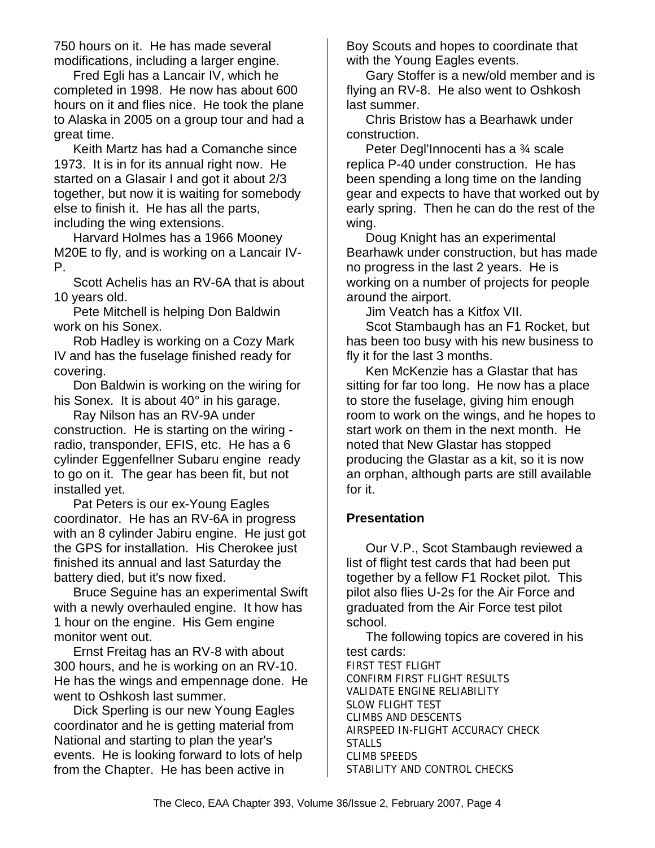750 hours on it. He has made several modifications, including a larger engine.

Fred Egli has a Lancair IV, which he completed in 1998. He now has about 600 hours on it and flies nice. He took the plane to Alaska in 2005 on a group tour and had a great time.

Keith Martz has had a Comanche since 1973. It is in for its annual right now. He started on a Glasair I and got it about 2/3 together, but now it is waiting for somebody else to finish it. He has all the parts, including the wing extensions.

Harvard Holmes has a 1966 Mooney M20E to fly, and is working on a Lancair IV-P.

Scott Achelis has an RV-6A that is about 10 years old.

Pete Mitchell is helping Don Baldwin work on his Sonex.

Rob Hadley is working on a Cozy Mark IV and has the fuselage finished ready for covering.

Don Baldwin is working on the wiring for his Sonex. It is about 40° in his garage.

Ray Nilson has an RV-9A under construction. He is starting on the wiring radio, transponder, EFIS, etc. He has a 6 cylinder Eggenfellner Subaru engine ready to go on it. The gear has been fit, but not installed yet.

Pat Peters is our ex-Young Eagles coordinator. He has an RV-6A in progress with an 8 cylinder Jabiru engine. He just got the GPS for installation. His Cherokee just finished its annual and last Saturday the battery died, but it's now fixed.

Bruce Seguine has an experimental Swift with a newly overhauled engine. It how has 1 hour on the engine. His Gem engine monitor went out.

Ernst Freitag has an RV-8 with about 300 hours, and he is working on an RV-10. He has the wings and empennage done. He went to Oshkosh last summer.

Dick Sperling is our new Young Eagles coordinator and he is getting material from National and starting to plan the year's events. He is looking forward to lots of help from the Chapter. He has been active in

Boy Scouts and hopes to coordinate that with the Young Eagles events.

Gary Stoffer is a new/old member and is flying an RV-8. He also went to Oshkosh last summer.

Chris Bristow has a Bearhawk under construction.

Peter Degl'Innocenti has a ¾ scale replica P-40 under construction. He has been spending a long time on the landing gear and expects to have that worked out by early spring. Then he can do the rest of the wing.

Doug Knight has an experimental Bearhawk under construction, but has made no progress in the last 2 years. He is working on a number of projects for people around the airport.

Jim Veatch has a Kitfox VII.

Scot Stambaugh has an F1 Rocket, but has been too busy with his new business to fly it for the last 3 months.

Ken McKenzie has a Glastar that has sitting for far too long. He now has a place to store the fuselage, giving him enough room to work on the wings, and he hopes to start work on them in the next month. He noted that New Glastar has stopped producing the Glastar as a kit, so it is now an orphan, although parts are still available for it.

#### **Presentation**

Our V.P., Scot Stambaugh reviewed a list of flight test cards that had been put together by a fellow F1 Rocket pilot. This pilot also flies U-2s for the Air Force and graduated from the Air Force test pilot school.

The following topics are covered in his test cards: FIRST TEST FLIGHT CONFIRM FIRST FLIGHT RESULTS VALIDATE ENGINE RELIABILITY SLOW FLIGHT TEST CLIMBS AND DESCENTS AIRSPEED IN-FLIGHT ACCURACY CHECK STALLS CLIMB SPEEDS STABILITY AND CONTROL CHECKS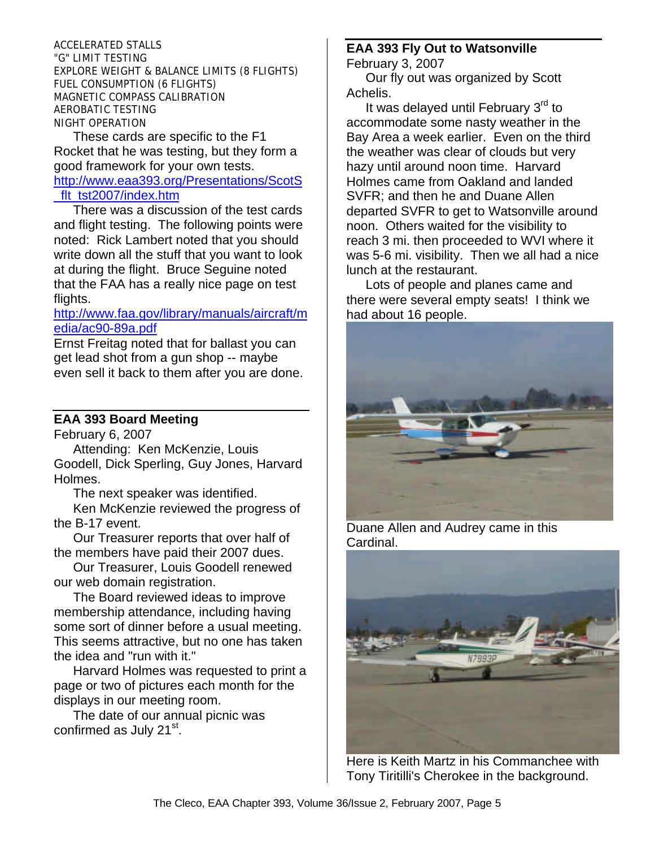ACCELERATED STALLS "G" LIMIT TESTING EXPLORE WEIGHT & BALANCE LIMITS (8 FLIGHTS) FUEL CONSUMPTION (6 FLIGHTS) MAGNETIC COMPASS CALIBRATION AEROBATIC TESTING NIGHT OPERATION

These cards are specific to the F1 Rocket that he was testing, but they form a good framework for your own tests. http://www.eaa393.org/Presentations/ScotS flt\_tst2007/index.htm

There was a discussion of the test cards and flight testing. The following points were noted: Rick Lambert noted that you should write down all the stuff that you want to look at during the flight. Bruce Seguine noted that the FAA has a really nice page on test flights.

#### http://www.faa.gov/library/manuals/aircraft/m edia/ac90-89a.pdf

Ernst Freitag noted that for ballast you can get lead shot from a gun shop -- maybe even sell it back to them after you are done.

#### **EAA 393 Board Meeting**

February 6, 2007

Attending: Ken McKenzie, Louis Goodell, Dick Sperling, Guy Jones, Harvard Holmes.

The next speaker was identified.

Ken McKenzie reviewed the progress of the B-17 event.

Our Treasurer reports that over half of the members have paid their 2007 dues.

Our Treasurer, Louis Goodell renewed our web domain registration.

The Board reviewed ideas to improve membership attendance, including having some sort of dinner before a usual meeting. This seems attractive, but no one has taken the idea and "run with it."

Harvard Holmes was requested to print a page or two of pictures each month for the displays in our meeting room.

The date of our annual picnic was confirmed as July 21<sup>st</sup>.

#### **EAA 393 Fly Out to Watsonville** February 3, 2007

Our fly out was organized by Scott Achelis.

It was delayed until February 3<sup>rd</sup> to accommodate some nasty weather in the Bay Area a week earlier. Even on the third the weather was clear of clouds but very hazy until around noon time. Harvard Holmes came from Oakland and landed SVFR; and then he and Duane Allen departed SVFR to get to Watsonville around noon. Others waited for the visibility to reach 3 mi. then proceeded to WVI where it was 5-6 mi. visibility. Then we all had a nice lunch at the restaurant.

Lots of people and planes came and there were several empty seats! I think we had about 16 people.



Duane Allen and Audrey came in this Cardinal.



Here is Keith Martz in his Commanchee with Tony Tiritilli's Cherokee in the background.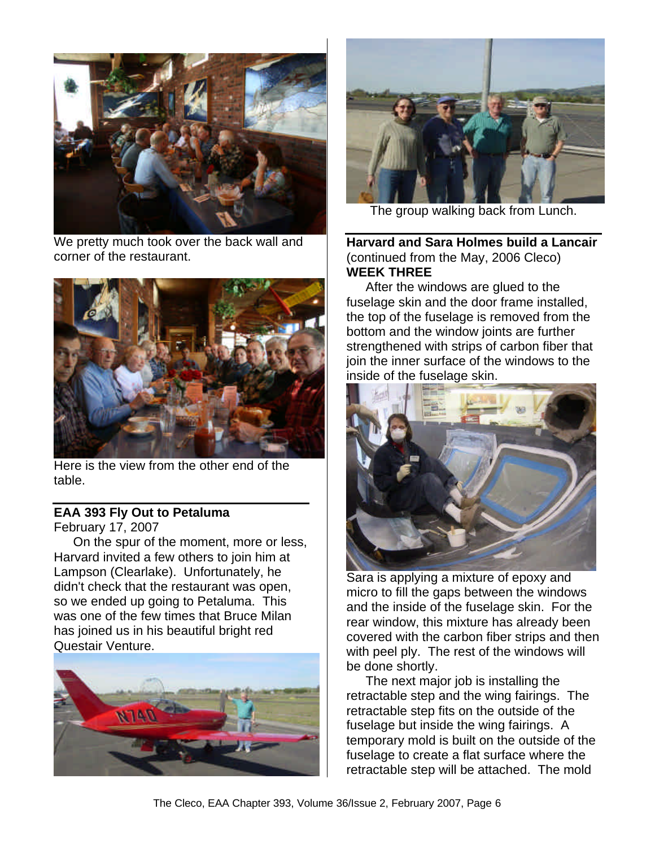

We pretty much took over the back wall and corner of the restaurant.



Here is the view from the other end of the table.

#### **EAA 393 Fly Out to Petaluma** February 17, 2007

On the spur of the moment, more or less, Harvard invited a few others to join him at Lampson (Clearlake). Unfortunately, he didn't check that the restaurant was open, so we ended up going to Petaluma. This was one of the few times that Bruce Milan has joined us in his beautiful bright red Questair Venture.





The group walking back from Lunch.

**Harvard and Sara Holmes build a Lancair** (continued from the May, 2006 Cleco) **WEEK THREE**

After the windows are glued to the fuselage skin and the door frame installed, the top of the fuselage is removed from the bottom and the window joints are further strengthened with strips of carbon fiber that join the inner surface of the windows to the inside of the fuselage skin.



Sara is applying a mixture of epoxy and micro to fill the gaps between the windows and the inside of the fuselage skin. For the rear window, this mixture has already been covered with the carbon fiber strips and then with peel ply. The rest of the windows will be done shortly.

The next major job is installing the retractable step and the wing fairings. The retractable step fits on the outside of the fuselage but inside the wing fairings. A temporary mold is built on the outside of the fuselage to create a flat surface where the retractable step will be attached. The mold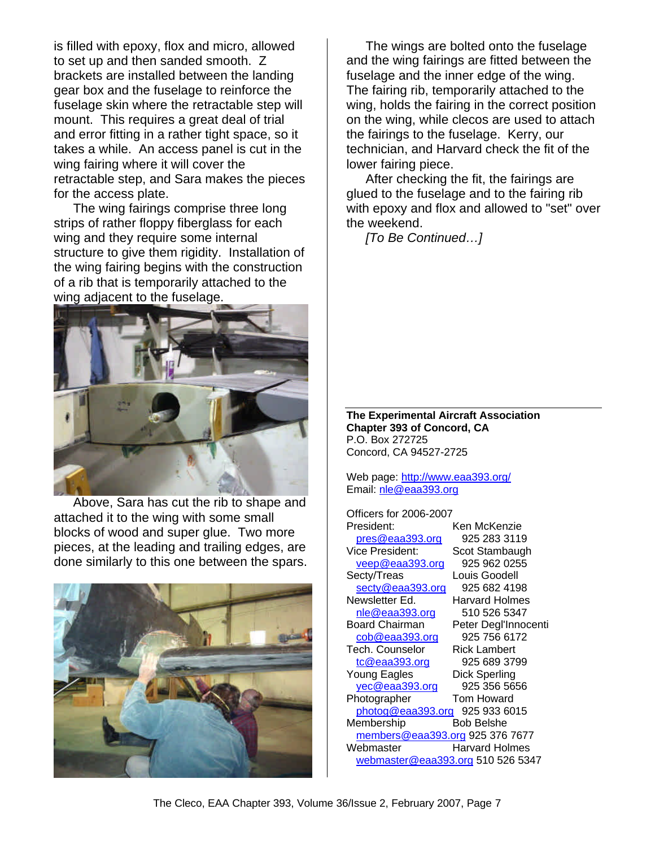is filled with epoxy, flox and micro, allowed to set up and then sanded smooth. Z brackets are installed between the landing gear box and the fuselage to reinforce the fuselage skin where the retractable step will mount. This requires a great deal of trial and error fitting in a rather tight space, so it takes a while. An access panel is cut in the wing fairing where it will cover the retractable step, and Sara makes the pieces for the access plate.

The wing fairings comprise three long strips of rather floppy fiberglass for each wing and they require some internal structure to give them rigidity. Installation of the wing fairing begins with the construction of a rib that is temporarily attached to the wing adjacent to the fuselage.



Above, Sara has cut the rib to shape and attached it to the wing with some small blocks of wood and super glue. Two more pieces, at the leading and trailing edges, are done similarly to this one between the spars.



The wings are bolted onto the fuselage and the wing fairings are fitted between the fuselage and the inner edge of the wing. The fairing rib, temporarily attached to the wing, holds the fairing in the correct position on the wing, while clecos are used to attach the fairings to the fuselage. Kerry, our technician, and Harvard check the fit of the lower fairing piece.

After checking the fit, the fairings are glued to the fuselage and to the fairing rib with epoxy and flox and allowed to "set" over the weekend.

*[To Be Continued…]*

**The Experimental Aircraft Association Chapter 393 of Concord, CA** P.O. Box 272725 Concord, CA 94527-2725

Web page: http://www.eaa393.org/ Email: nle@eaa393.org

Officers for 2006-2007 President: Ken McKenzie pres@eaa393.org 925 283 3119 Vice President: Scot Stambaugh veep@eaa393.org 925 962 0255 Secty/Treas Louis Goodell secty@eaa393.org 925 682 4198 Newsletter Ed. Harvard Holmes nle@eaa393.org 510 526 5347 Board Chairman Peter Degl'Innocenti cob@eaa393.org 925 756 6172 Tech. Counselor Rick Lambert tc@eaa393.org 925 689 3799 Young Eagles Dick Sperling yec@eaa393.org 925 356 5656 Photographer Tom Howard photog@eaa393.org 925 933 6015 Membership Bob Belshe members@eaa393.org 925 376 7677 Webmaster Harvard Holmes webmaster@eaa393.org 510 526 5347